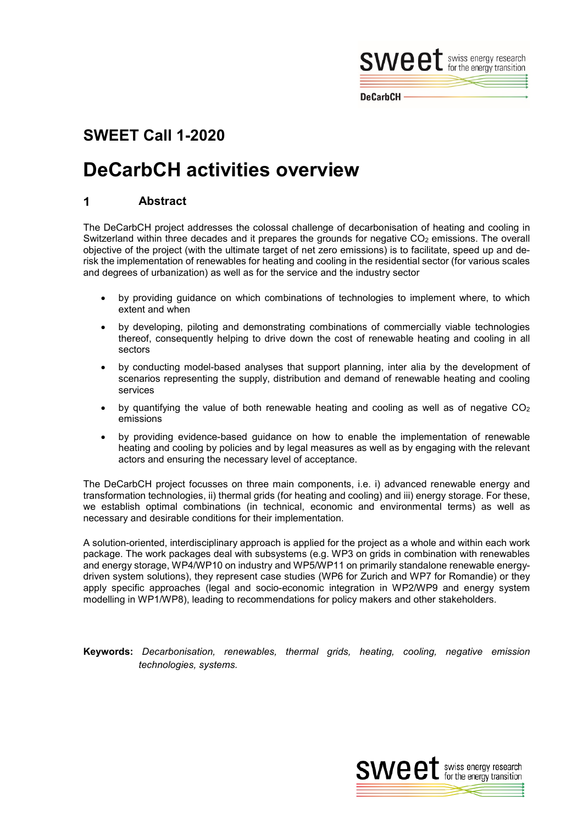

**DeCarbCH** 

## **SWEET Call 1-2020**

# **DeCarbCH activities overview**

#### **Abstract** 1

The DeCarbCH project addresses the colossal challenge of decarbonisation of heating and cooling in Switzerland within three decades and it prepares the grounds for negative  $CO<sub>2</sub>$  emissions. The overall objective of the project (with the ultimate target of net zero emissions) is to facilitate, speed up and derisk the implementation of renewables for heating and cooling in the residential sector (for various scales and degrees of urbanization) as well as for the service and the industry sector

- by providing guidance on which combinations of technologies to implement where, to which extent and when
- by developing, piloting and demonstrating combinations of commercially viable technologies thereof, consequently helping to drive down the cost of renewable heating and cooling in all sectors
- by conducting model-based analyses that support planning, inter alia by the development of scenarios representing the supply, distribution and demand of renewable heating and cooling services
- by quantifying the value of both renewable heating and cooling as well as of negative  $CO<sub>2</sub>$ emissions
- by providing evidence-based guidance on how to enable the implementation of renewable heating and cooling by policies and by legal measures as well as by engaging with the relevant actors and ensuring the necessary level of acceptance.

The DeCarbCH project focusses on three main components, i.e. i) advanced renewable energy and transformation technologies, ii) thermal grids (for heating and cooling) and iii) energy storage. For these, we establish optimal combinations (in technical, economic and environmental terms) as well as necessary and desirable conditions for their implementation.

A solution-oriented, interdisciplinary approach is applied for the project as a whole and within each work package. The work packages deal with subsystems (e.g. WP3 on grids in combination with renewables and energy storage, WP4/WP10 on industry and WP5/WP11 on primarily standalone renewable energydriven system solutions), they represent case studies (WP6 for Zurich and WP7 for Romandie) or they apply specific approaches (legal and socio-economic integration in WP2/WP9 and energy system modelling in WP1/WP8), leading to recommendations for policy makers and other stakeholders.

**Keywords:** *Decarbonisation, renewables, thermal grids, heating, cooling, negative emission technologies, systems.*

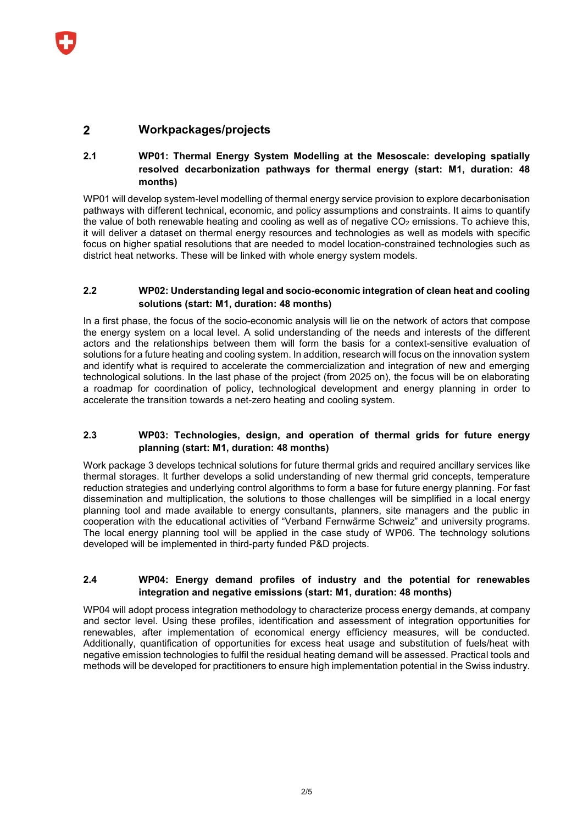#### $\mathbf{z}$ **Workpackages/projects**

#### **2.1 WP01: Thermal Energy System Modelling at the Mesoscale: developing spatially resolved decarbonization pathways for thermal energy (start: M1, duration: 48 months)**

WP01 will develop system-level modelling of thermal energy service provision to explore decarbonisation pathways with different technical, economic, and policy assumptions and constraints. It aims to quantify the value of both renewable heating and cooling as well as of negative  $CO<sub>2</sub>$  emissions. To achieve this, it will deliver a dataset on thermal energy resources and technologies as well as models with specific focus on higher spatial resolutions that are needed to model location-constrained technologies such as district heat networks. These will be linked with whole energy system models.

#### **2.2 WP02: Understanding legal and socio-economic integration of clean heat and cooling solutions (start: M1, duration: 48 months)**

In a first phase, the focus of the socio-economic analysis will lie on the network of actors that compose the energy system on a local level. A solid understanding of the needs and interests of the different actors and the relationships between them will form the basis for a context-sensitive evaluation of solutions for a future heating and cooling system. In addition, research will focus on the innovation system and identify what is required to accelerate the commercialization and integration of new and emerging technological solutions. In the last phase of the project (from 2025 on), the focus will be on elaborating a roadmap for coordination of policy, technological development and energy planning in order to accelerate the transition towards a net-zero heating and cooling system.

#### **2.3 WP03: Technologies, design, and operation of thermal grids for future energy planning (start: M1, duration: 48 months)**

Work package 3 develops technical solutions for future thermal grids and required ancillary services like thermal storages. It further develops a solid understanding of new thermal grid concepts, temperature reduction strategies and underlying control algorithms to form a base for future energy planning. For fast dissemination and multiplication, the solutions to those challenges will be simplified in a local energy planning tool and made available to energy consultants, planners, site managers and the public in cooperation with the educational activities of "Verband Fernwärme Schweiz" and university programs. The local energy planning tool will be applied in the case study of WP06. The technology solutions developed will be implemented in third-party funded P&D projects.

#### **2.4 WP04: Energy demand profiles of industry and the potential for renewables integration and negative emissions (start: M1, duration: 48 months)**

WP04 will adopt process integration methodology to characterize process energy demands, at company and sector level. Using these profiles, identification and assessment of integration opportunities for renewables, after implementation of economical energy efficiency measures, will be conducted. Additionally, quantification of opportunities for excess heat usage and substitution of fuels/heat with negative emission technologies to fulfil the residual heating demand will be assessed. Practical tools and methods will be developed for practitioners to ensure high implementation potential in the Swiss industry.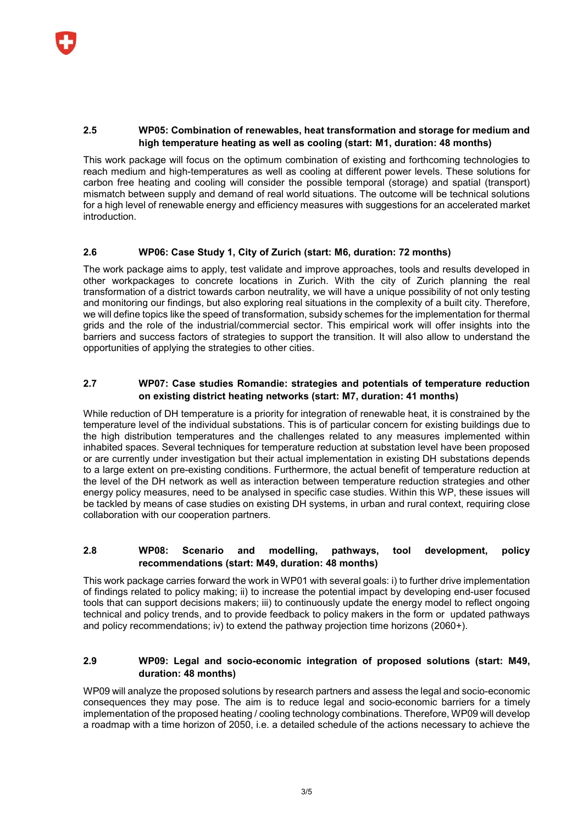#### **2.5 WP05: Combination of renewables, heat transformation and storage for medium and high temperature heating as well as cooling (start: M1, duration: 48 months)**

This work package will focus on the optimum combination of existing and forthcoming technologies to reach medium and high-temperatures as well as cooling at different power levels. These solutions for carbon free heating and cooling will consider the possible temporal (storage) and spatial (transport) mismatch between supply and demand of real world situations. The outcome will be technical solutions for a high level of renewable energy and efficiency measures with suggestions for an accelerated market introduction.

## **2.6 WP06: Case Study 1, City of Zurich (start: M6, duration: 72 months)**

The work package aims to apply, test validate and improve approaches, tools and results developed in other workpackages to concrete locations in Zurich. With the city of Zurich planning the real transformation of a district towards carbon neutrality, we will have a unique possibility of not only testing and monitoring our findings, but also exploring real situations in the complexity of a built city. Therefore, we will define topics like the speed of transformation, subsidy schemes for the implementation for thermal grids and the role of the industrial/commercial sector. This empirical work will offer insights into the barriers and success factors of strategies to support the transition. It will also allow to understand the opportunities of applying the strategies to other cities.

## **2.7 WP07: Case studies Romandie: strategies and potentials of temperature reduction on existing district heating networks (start: M7, duration: 41 months)**

While reduction of DH temperature is a priority for integration of renewable heat, it is constrained by the temperature level of the individual substations. This is of particular concern for existing buildings due to the high distribution temperatures and the challenges related to any measures implemented within inhabited spaces. Several techniques for temperature reduction at substation level have been proposed or are currently under investigation but their actual implementation in existing DH substations depends to a large extent on pre-existing conditions. Furthermore, the actual benefit of temperature reduction at the level of the DH network as well as interaction between temperature reduction strategies and other energy policy measures, need to be analysed in specific case studies. Within this WP, these issues will be tackled by means of case studies on existing DH systems, in urban and rural context, requiring close collaboration with our cooperation partners.

#### **2.8 WP08: Scenario and modelling, pathways, tool development, policy recommendations (start: M49, duration: 48 months)**

This work package carries forward the work in WP01 with several goals: i) to further drive implementation of findings related to policy making; ii) to increase the potential impact by developing end-user focused tools that can support decisions makers; iii) to continuously update the energy model to reflect ongoing technical and policy trends, and to provide feedback to policy makers in the form or updated pathways and policy recommendations; iv) to extend the pathway projection time horizons (2060+).

## **2.9 WP09: Legal and socio-economic integration of proposed solutions (start: M49, duration: 48 months)**

WP09 will analyze the proposed solutions by research partners and assess the legal and socio-economic consequences they may pose. The aim is to reduce legal and socio-economic barriers for a timely implementation of the proposed heating / cooling technology combinations. Therefore, WP09 will develop a roadmap with a time horizon of 2050, i.e. a detailed schedule of the actions necessary to achieve the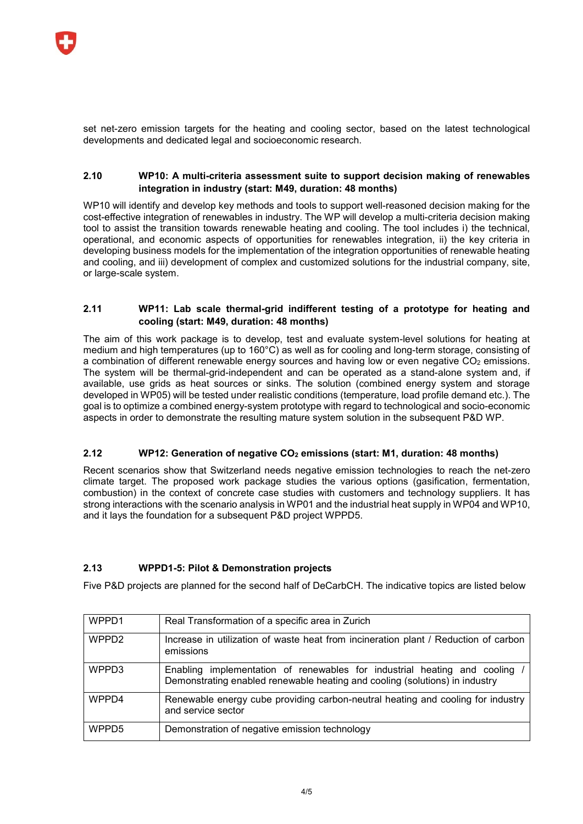

set net-zero emission targets for the heating and cooling sector, based on the latest technological developments and dedicated legal and socioeconomic research.

#### **2.10 WP10: A multi-criteria assessment suite to support decision making of renewables integration in industry (start: M49, duration: 48 months)**

WP10 will identify and develop key methods and tools to support well-reasoned decision making for the cost-effective integration of renewables in industry. The WP will develop a multi-criteria decision making tool to assist the transition towards renewable heating and cooling. The tool includes i) the technical, operational, and economic aspects of opportunities for renewables integration, ii) the key criteria in developing business models for the implementation of the integration opportunities of renewable heating and cooling, and iii) development of complex and customized solutions for the industrial company, site, or large-scale system.

#### **2.11 WP11: Lab scale thermal-grid indifferent testing of a prototype for heating and cooling (start: M49, duration: 48 months)**

The aim of this work package is to develop, test and evaluate system-level solutions for heating at medium and high temperatures (up to 160°C) as well as for cooling and long-term storage, consisting of a combination of different renewable energy sources and having low or even negative CO<sub>2</sub> emissions. The system will be thermal-grid-independent and can be operated as a stand-alone system and, if available, use grids as heat sources or sinks. The solution (combined energy system and storage developed in WP05) will be tested under realistic conditions (temperature, load profile demand etc.). The goal is to optimize a combined energy-system prototype with regard to technological and socio-economic aspects in order to demonstrate the resulting mature system solution in the subsequent P&D WP.

#### **2.12 WP12: Generation of negative CO<sub>2</sub> emissions (start: M1, duration: 48 months)**

Recent scenarios show that Switzerland needs negative emission technologies to reach the net-zero climate target. The proposed work package studies the various options (gasification, fermentation, combustion) in the context of concrete case studies with customers and technology suppliers. It has strong interactions with the scenario analysis in WP01 and the industrial heat supply in WP04 and WP10, and it lays the foundation for a subsequent P&D project WPPD5.

#### **2.13 WPPD1-5: Pilot & Demonstration projects**

Five P&D projects are planned for the second half of DeCarbCH. The indicative topics are listed below

| WPPD1             | Real Transformation of a specific area in Zurich                                                                                                        |
|-------------------|---------------------------------------------------------------------------------------------------------------------------------------------------------|
| WPPD <sub>2</sub> | Increase in utilization of waste heat from incineration plant / Reduction of carbon<br>emissions                                                        |
| WPPD3             | Enabling implementation of renewables for industrial heating and cooling<br>Demonstrating enabled renewable heating and cooling (solutions) in industry |
| WPPD4             | Renewable energy cube providing carbon-neutral heating and cooling for industry<br>and service sector                                                   |
| WPPD <sub>5</sub> | Demonstration of negative emission technology                                                                                                           |